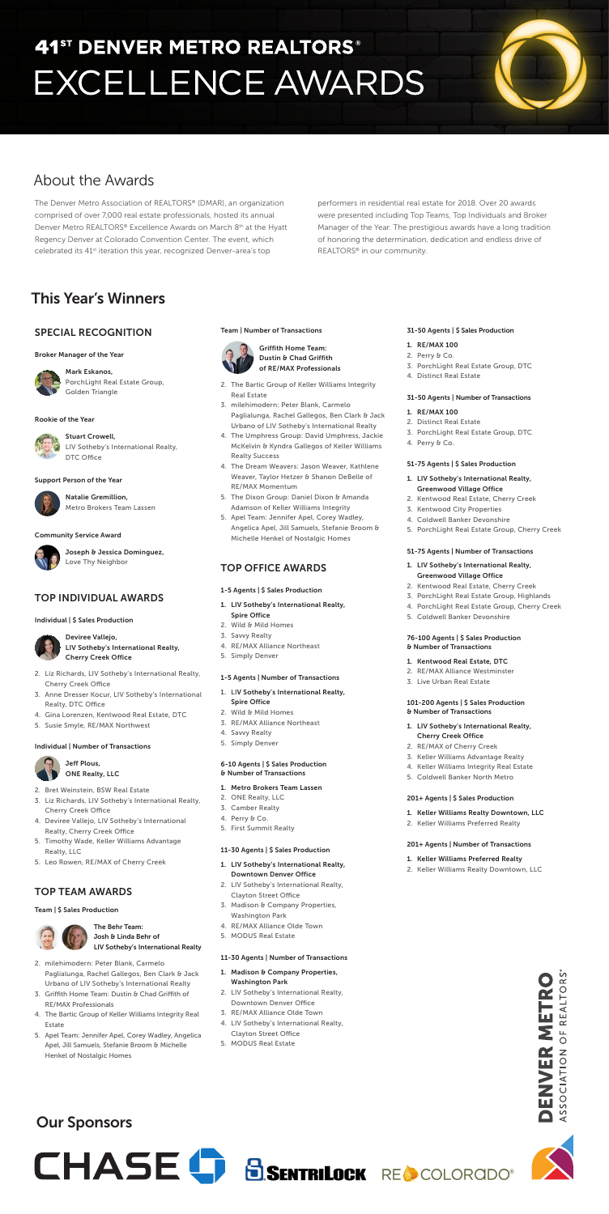# SPECIAL RECOGNITION

#### Broker Manager of the Year



Mark Eskanos, PorchLight Real Estate Group, Golden Triangle

#### Rookie of the Year

Stuart Crowell, LIV Sotheby's International Realty, DTC Office

#### Support Person of the Year



Natalie Gremillion, Metro Brokers Team Lassen

#### Community Service Award



Joseph & Jessica Dominguez, Love Thy Neighbor

# TOP INDIVIDUAL AWARDS

#### Individual | \$ Sales Production

Deviree Vallejo, LIV Sotheby's International Realty, Cherry Creek Office

- 2. Liz Richards, LIV Sotheby's International Realty, Cherry Creek Office
- 3. Anne Dresser Kocur, LIV Sotheby's International Realty, DTC Office
- 4. Gina Lorenzen, Kentwood Real Estate, DTC
- 5. Susie Smyle, RE/MAX Northwest

#### Individual | Number of Transactions



Jeff Plous,

- 2. Bret Weinstein, BSW Real Estate
- 3. Liz Richards, LIV Sotheby's International Realty, Cherry Creek Office
- 4. Deviree Vallejo, LIV Sotheby's International Realty, Cherry Creek Office
- 5. Timothy Wade, Keller Williams Advantage Realty, LLC
- 5. Leo Rowen, RE/MAX of Cherry Creek

# TOP TEAM AWARDS

#### Team | \$ Sales Production



#### The Behr Team: Josh & Linda Behr of LIV Sotheby's International Realty

- 2. milehimodern: Peter Blank, Carmelo Paglialunga, Rachel Gallegos, Ben Clark & Jack Urbano of LIV Sotheby's International Realty
- 3. Griffith Home Team: Dustin & Chad Griffith of RE/MAX Professionals
- 4. The Bartic Group of Keller Williams Integrity Real Estate
- 5. Apel Team: Jennifer Apel, Corey Wadley, Angelica Apel, Jill Samuels, Stefanie Broom & Michelle Henkel of Nostalgic Homes

#### Team | Number of Transactions



Griffith Home Team: Dustin & Chad Griffith of RE/MAX Professionals

- 2. Perry & Co.
- 3. PorchLight Real Estate Group, DTC
- 4. Distinct Real Estate

- 2. The Bartic Group of Keller Williams Integrity Real Estate
- 3. milehimodern: Peter Blank, Carmelo Paglialunga, Rachel Gallegos, Ben Clark & Jack Urbano of LIV Sotheby's International Realty
- 4. The Umphress Group: David Umphress, Jackie McKelvin & Kyndra Gallegos of Keller Williams Realty Success
- 4. The Dream Weavers: Jason Weaver, Kathlene Weaver, Taylor Hetzer & Shanon DeBelle of RE/MAX Momentum
- 5. The Dixon Group: Daniel Dixon & Amanda Adamson of Keller Williams Integrity
- 5. Apel Team: Jennifer Apel, Corey Wadley, Angelica Apel, Jill Samuels, Stefanie Broom & Michelle Henkel of Nostalgic Homes

- 1. LIV Sotheby's International Realty, Cherry Creek Office
- 2. RE/MAX of Cherry Creek
- 3. Keller Williams Advantage Realty
	- Keller Williams Integrity Real Estate

### ONE Realty, LLC

### TOP OFFICE AWARDS

#### 1-5 Agents | \$ Sales Production

The Denver Metro Association of REALTORS® (DMAR), an organization comprised of over 7,000 real estate professionals, hosted its annual Denver Metro REALTORS® Excellence Awards on March 8<sup>th</sup> at the Hyatt Regency Denver at Colorado Convention Center. The event, which celebrated its 41<sup>st</sup> iteration this year, recognized Denver-area's top

- 1. LIV Sotheby's International Realty, Spire Office
- 2. Wild & Mild Homes
- 3. Savvy Realty
- 4. RE/MAX Alliance Northeast
- 5. Simply Denver

#### 1-5 Agents | Number of Transactions

- 1. LIV Sotheby's International Realty, Spire Office
- 2. Wild & Mild Homes
- 3. RE/MAX Alliance Northeast
- 4. Savvy Realty
- 5. Simply Denver

#### 6-10 Agents | \$ Sales Production

#### & Number of Transactions

#### 1. Metro Brokers Team Lassen

- 2. ONE Realty, LLC
- 3. Camber Realty
- 4. Perry & Co.
- 5. First Summit Realty

#### 11-30 Agents | \$ Sales Production

#### 1. LIV Sotheby's International Realty, Downtown Denver Office

- 2. LIV Sotheby's International Realty, Clayton Street Office
- 3. Madison & Company Properties, Washington Park
- 4. RE/MAX Alliance Olde Town
- 5. MODUS Real Estate

#### 11-30 Agents | Number of Transactions

- 1. Madison & Company Properties, Washington Park
- 2. LIV Sotheby's International Realty, Downtown Denver Office
- 3. RE/MAX Alliance Olde Town
- 4. LIV Sotheby's International Realty, Clayton Street Office
- 5. MODUS Real Estate

#### 31-50 Agents | \$ Sales Production

#### 1. RE/MAX 100

#### 31-50 Agents | Number of Transactions

#### 1. RE/MAX 100

- 2. Distinct Real Estate
- 3. PorchLight Real Estate Group, DTC
- 4. Perry & Co.

#### 51-75 Agents | \$ Sales Production

- 1. LIV Sotheby's International Realty, Greenwood Village Office
- 2. Kentwood Real Estate, Cherry Creek
- 3. Kentwood City Properties
- 4. Coldwell Banker Devonshire
- 5. PorchLight Real Estate Group, Cherry Creek

#### 51-75 Agents | Number of Transactions

- 1. LIV Sotheby's International Realty, Greenwood Village Office
- 2. Kentwood Real Estate, Cherry Creek
- 3. PorchLight Real Estate Group, Highlands
- 4. PorchLight Real Estate Group, Cherry Creek
- 5. Coldwell Banker Devonshire

#### 76-100 Agents | \$ Sales Production & Number of Transactions

- 1. Kentwood Real Estate, DTC
- 2. RE/MAX Alliance Westminster
- 3. Live Urban Real Estate

#### 101-200 Agents | \$ Sales Production & Number of Transactions

- 
- 5. Coldwell Banker North Metro

#### 201+ Agents | \$ Sales Production

- 1. Keller Williams Realty Downtown, LLC
- 2. Keller Williams Preferred Realty

### 201+ Agents | Number of Transactions

### 1. Keller Williams Preferred Realty

2. Keller Williams Realty Downtown, LLC



performers in residential real estate for 2018. Over 20 awards were presented including Top Teams, Top Individuals and Broker Manager of the Year. The prestigious awards have a long tradition of honoring the determination, dedication and endless drive of REALTORS® in our community.

# 41<sup>st</sup> DENVER METRO REALTORS® **EXCELLENCE AWARDS**

# About the Awards

# This Year's Winners

# Our Sponsors